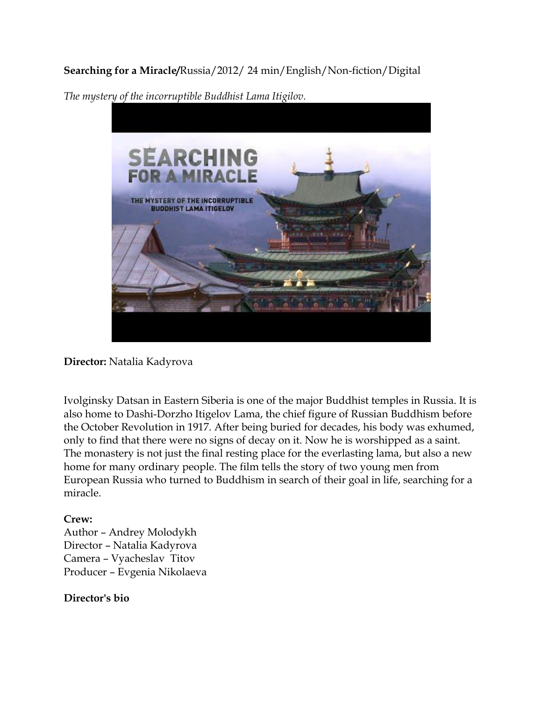## **Searching for a Miracle/**Russia/2012/ 24 min/English/Non-fiction/Digital



*The mystery of the incorruptible Buddhist Lama Itigilov.* 

**Director:** Natalia Kadyrova

Ivolginsky Datsan in Eastern Siberia is one of the major Buddhist temples in Russia. It is also home to Dashi-Dorzho Itigelov Lama, the chief figure of Russian Buddhism before the October Revolution in 1917. After being buried for decades, his body was exhumed, only to find that there were no signs of decay on it. Now he is worshipped as a saint. The monastery is not just the final resting place for the everlasting lama, but also a new home for many ordinary people. The film tells the story of two young men from European Russia who turned to Buddhism in search of their goal in life, searching for a miracle.

## **Crew:**

Author – Andrey Molodykh Director – Natalia Kadyrova Camera – Vyacheslav Titov Producer – Evgenia Nikolaeva

## **Director's bio**